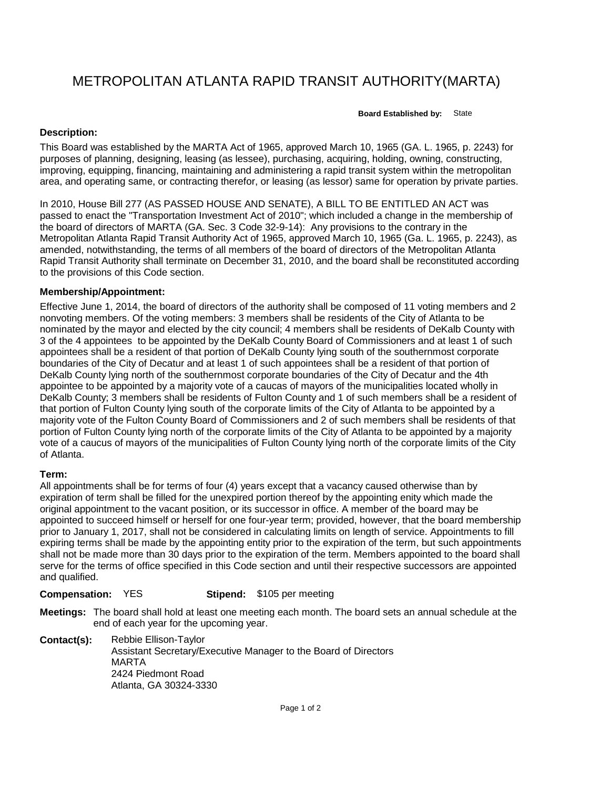# METROPOLITAN ATLANTA RAPID TRANSIT AUTHORITY(MARTA)

**Board Established by:** State

# **Description:**

This Board was established by the MARTA Act of 1965, approved March 10, 1965 (GA. L. 1965, p. 2243) for purposes of planning, designing, leasing (as lessee), purchasing, acquiring, holding, owning, constructing, improving, equipping, financing, maintaining and administering a rapid transit system within the metropolitan area, and operating same, or contracting therefor, or leasing (as lessor) same for operation by private parties.

In 2010, House Bill 277 (AS PASSED HOUSE AND SENATE), A BILL TO BE ENTITLED AN ACT was passed to enact the "Transportation Investment Act of 2010"; which included a change in the membership of the board of directors of MARTA (GA. Sec. 3 Code 32-9-14): Any provisions to the contrary in the Metropolitan Atlanta Rapid Transit Authority Act of 1965, approved March 10, 1965 (Ga. L. 1965, p. 2243), as amended, notwithstanding, the terms of all members of the board of directors of the Metropolitan Atlanta Rapid Transit Authority shall terminate on December 31, 2010, and the board shall be reconstituted according to the provisions of this Code section.

### **Membership/Appointment:**

Effective June 1, 2014, the board of directors of the authority shall be composed of 11 voting members and 2 nonvoting members. Of the voting members: 3 members shall be residents of the City of Atlanta to be nominated by the mayor and elected by the city council; 4 members shall be residents of DeKalb County with 3 of the 4 appointees to be appointed by the DeKalb County Board of Commissioners and at least 1 of such appointees shall be a resident of that portion of DeKalb County lying south of the southernmost corporate boundaries of the City of Decatur and at least 1 of such appointees shall be a resident of that portion of DeKalb County lying north of the southernmost corporate boundaries of the City of Decatur and the 4th appointee to be appointed by a majority vote of a caucas of mayors of the municipalities located wholly in DeKalb County; 3 members shall be residents of Fulton County and 1 of such members shall be a resident of that portion of Fulton County lying south of the corporate limits of the City of Atlanta to be appointed by a majority vote of the Fulton County Board of Commissioners and 2 of such members shall be residents of that portion of Fulton County lying north of the corporate limits of the City of Atlanta to be appointed by a majority vote of a caucus of mayors of the municipalities of Fulton County lying north of the corporate limits of the City of Atlanta.

# **Term:**

All appointments shall be for terms of four (4) years except that a vacancy caused otherwise than by expiration of term shall be filled for the unexpired portion thereof by the appointing enity which made the original appointment to the vacant position, or its successor in office. A member of the board may be appointed to succeed himself or herself for one four-year term; provided, however, that the board membership prior to January 1, 2017, shall not be considered in calculating limits on length of service. Appointments to fill expiring terms shall be made by the appointing entity prior to the expiration of the term, but such appointments shall not be made more than 30 days prior to the expiration of the term. Members appointed to the board shall serve for the terms of office specified in this Code section and until their respective successors are appointed and qualified.

#### **Compensation:** YES **Stipend:** \$105 per meeting

**Meetings:** The board shall hold at least one meeting each month. The board sets an annual schedule at the end of each year for the upcoming year.

**Contact(s):** Rebbie Ellison-Taylor Assistant Secretary/Executive Manager to the Board of Directors MARTA 2424 Piedmont Road Atlanta, GA 30324-3330